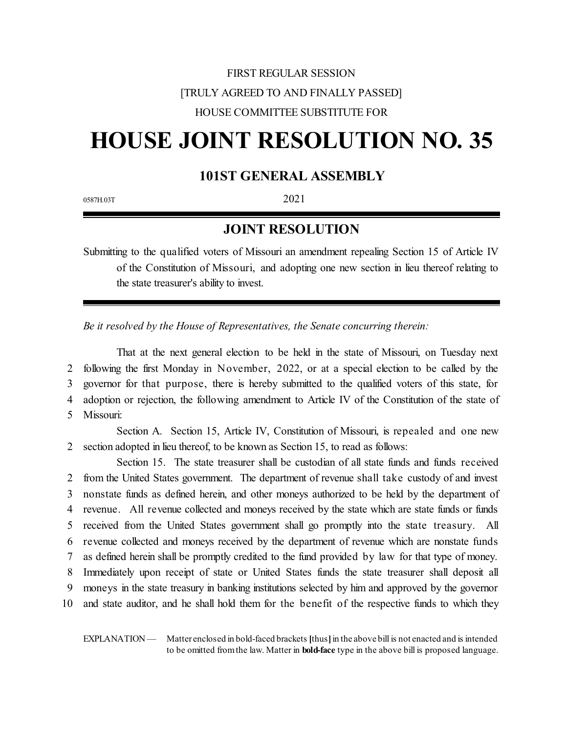## FIRST REGULAR SESSION [TRULY AGREED TO AND FINALLY PASSED] HOUSE COMMITTEE SUBSTITUTE FOR

# **HOUSE JOINT RESOLUTION NO. 35**

### **101ST GENERAL ASSEMBLY**

0587H.03T 2021

#### **JOINT RESOLUTION**

Submitting to the qualified voters of Missouri an amendment repealing Section 15 of Article IV of the Constitution of Missouri, and adopting one new section in lieu thereof relating to the state treasurer's ability to invest.

*Be it resolved by the House of Representatives, the Senate concurring therein:*

That at the next general election to be held in the state of Missouri, on Tuesday next following the first Monday in November, 2022, or at a special election to be called by the governor for that purpose, there is hereby submitted to the qualified voters of this state, for adoption or rejection, the following amendment to Article IV of the Constitution of the state of Missouri:

Section A. Section 15, Article IV, Constitution of Missouri, is repealed and one new 2 section adopted in lieu thereof, to be known as Section 15, to read as follows:

Section 15. The state treasurer shall be custodian of all state funds and funds received from the United States government. The department of revenue shall take custody of and invest nonstate funds as defined herein, and other moneys authorized to be held by the department of revenue. All revenue collected and moneys received by the state which are state funds or funds received from the United States government shall go promptly into the state treasury. All revenue collected and moneys received by the department of revenue which are nonstate funds as defined herein shall be promptly credited to the fund provided by law for that type of money. Immediately upon receipt of state or United States funds the state treasurer shall deposit all moneys in the state treasury in banking institutions selected by him and approved by the governor and state auditor, and he shall hold them for the benefit of the respective funds to which they

EXPLANATION — Matter enclosed in bold-faced brackets **[**thus**]**in the above bill is not enacted and is intended to be omitted fromthe law. Matter in **bold-face** type in the above bill is proposed language.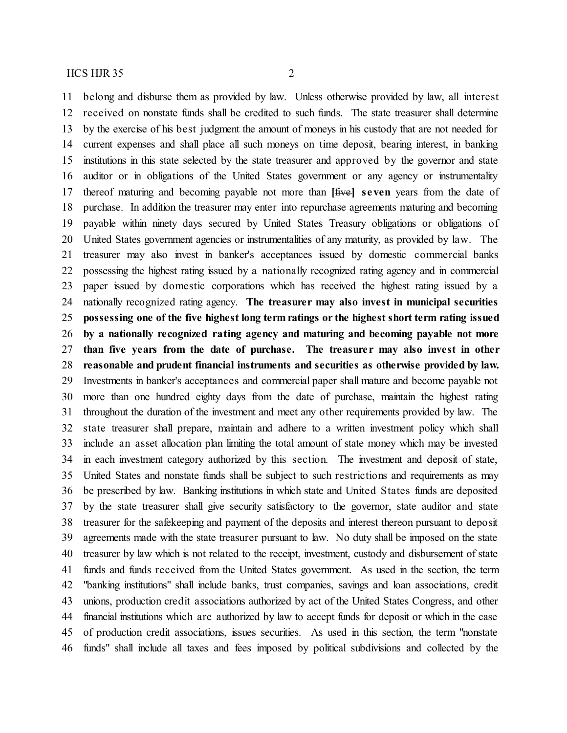belong and disburse them as provided by law. Unless otherwise provided by law, all interest received on nonstate funds shall be credited to such funds. The state treasurer shall determine by the exercise of his best judgment the amount of moneys in his custody that are not needed for current expenses and shall place all such moneys on time deposit, bearing interest, in banking institutions in this state selected by the state treasurer and approved by the governor and state auditor or in obligations of the United States government or any agency or instrumentality thereof maturing and becoming payable not more than **[**five**] seven** years from the date of purchase. In addition the treasurer may enter into repurchase agreements maturing and becoming payable within ninety days secured by United States Treasury obligations or obligations of United States government agencies or instrumentalities of any maturity, as provided by law. The treasurer may also invest in banker's acceptances issued by domestic commercial banks possessing the highest rating issued by a nationally recognized rating agency and in commercial paper issued by domestic corporations which has received the highest rating issued by a nationally recognized rating agency. **The treasurer may also invest in municipal securities possessing one of the five highest long term ratings or the highest short term rating issued by a nationally recognized rating agency and maturing and becoming payable not more than five years from the date of purchase. The treasure r may also invest in other reasonable and prudent financial instruments and securities as otherwise provided by law.** Investments in banker's acceptances and commercial paper shall mature and become payable not more than one hundred eighty days from the date of purchase, maintain the highest rating throughout the duration of the investment and meet any other requirements provided by law. The state treasurer shall prepare, maintain and adhere to a written investment policy which shall include an asset allocation plan limiting the total amount of state money which may be invested in each investment category authorized by this section. The investment and deposit of state, United States and nonstate funds shall be subject to such restrictions and requirements as may be prescribed by law. Banking institutions in which state and United States funds are deposited by the state treasurer shall give security satisfactory to the governor, state auditor and state treasurer for the safekeeping and payment of the deposits and interest thereon pursuant to deposit agreements made with the state treasurer pursuant to law. No duty shall be imposed on the state treasurer by law which is not related to the receipt, investment, custody and disbursement of state funds and funds received from the United States government. As used in the section, the term "banking institutions" shall include banks, trust companies, savings and loan associations, credit unions, production credit associations authorized by act of the United States Congress, and other financial institutions which are authorized by law to accept funds for deposit or which in the case of production credit associations, issues securities. As used in this section, the term "nonstate funds" shall include all taxes and fees imposed by political subdivisions and collected by the